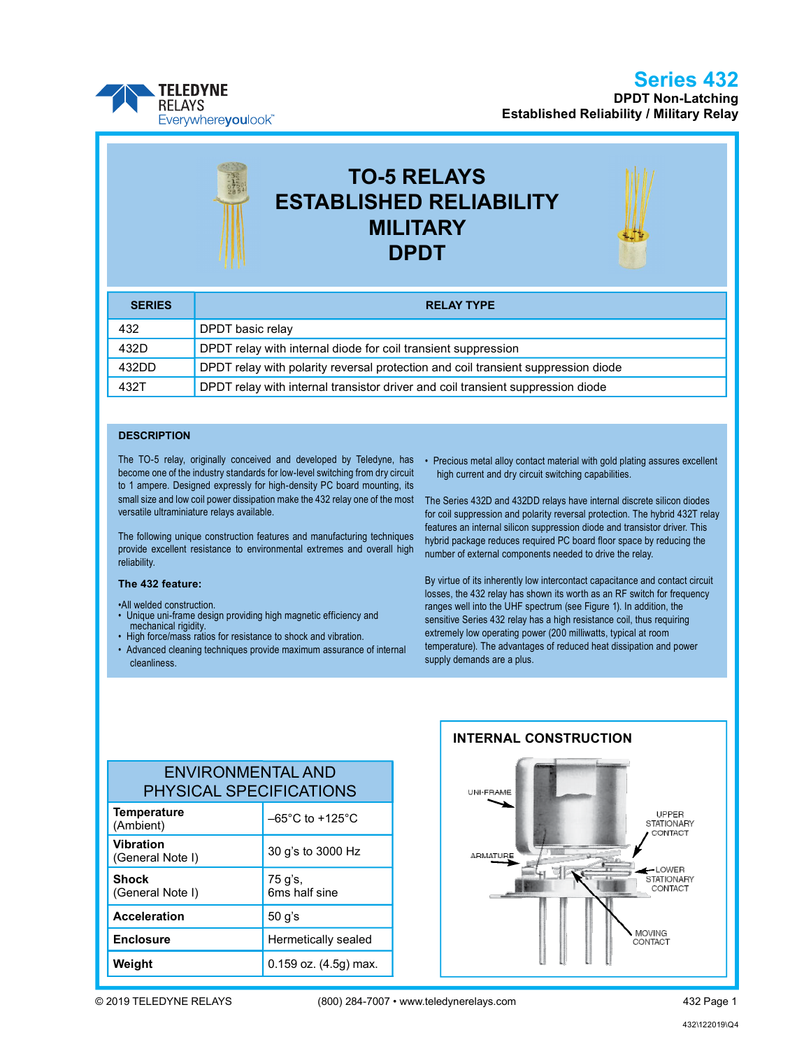## Series 432

DPDT Non-Latching Established Reliability / Military Relay



# TO-5 RELAYS ESTABLISHED RELIABILITY MILITARY DPDT

| <b>SERIES</b> | <b>RELAY TYPE</b>                                                                 |  |  |  |  |
|---------------|-----------------------------------------------------------------------------------|--|--|--|--|
| 432           | DPDT basic relay                                                                  |  |  |  |  |
| 432D          | DPDT relay with internal diode for coil transient suppression                     |  |  |  |  |
| 432DD         | DPDT relay with polarity reversal protection and coil transient suppression diode |  |  |  |  |
| 432T          | DPDT relay with internal transistor driver and coil transient suppression diode   |  |  |  |  |

#### **DESCRIPTION**

The TO-5 relay, originally conceived and developed by Teledyne, has become one of the industry standards for low-level switching from dry circuit to 1 ampere. Designed expressly for high-density PC board mounting, its small size and low coil power dissipation make the 432 relay one of the most versatile ultraminiature relays available.

The following unique construction features and manufacturing techniques provide excellent resistance to environmental extremes and overall high reliability.

#### The 432 feature:

•All welded construction.

- Unique uni-frame design providing high magnetic efficiency and mechanical rigidity.
- High force/mass ratios for resistance to shock and vibration.
- Advanced cleaning techniques provide maximum assurance of internal cleanliness.

• Precious metal alloy contact material with gold plating assures excellent high current and dry circuit switching capabilities.

The Series 432D and 432DD relays have internal discrete silicon diodes for coil suppression and polarity reversal protection. The hybrid 432T relay features an internal silicon suppression diode and transistor driver. This hybrid package reduces required PC board floor space by reducing the number of external components needed to drive the relay.

By virtue of its inherently low intercontact capacitance and contact circuit losses, the 432 relay has shown its worth as an RF switch for frequency ranges well into the UHF spectrum (see Figure 1). In addition, the sensitive Series 432 relay has a high resistance coil, thus requiring extremely low operating power (200 milliwatts, typical at room temperature). The advantages of reduced heat dissipation and power supply demands are a plus.

| <b>ENVIRONMENTAL AND</b>       |  |
|--------------------------------|--|
| <b>PHYSICAL SPECIFICATIONS</b> |  |
|                                |  |

| <b>Temperature</b><br>(Ambient)      | $-65^{\circ}$ C to +125 $^{\circ}$ C |
|--------------------------------------|--------------------------------------|
| <b>Vibration</b><br>(General Note I) | 30 g's to 3000 Hz                    |
| <b>Shock</b><br>(General Note I)     | 75 g's,<br>6ms half sine             |
| <b>Acceleration</b>                  | 50 g's                               |
| <b>Enclosure</b>                     | Hermetically sealed                  |
| Weight                               | $0.159$ oz. $(4.5g)$ max.            |

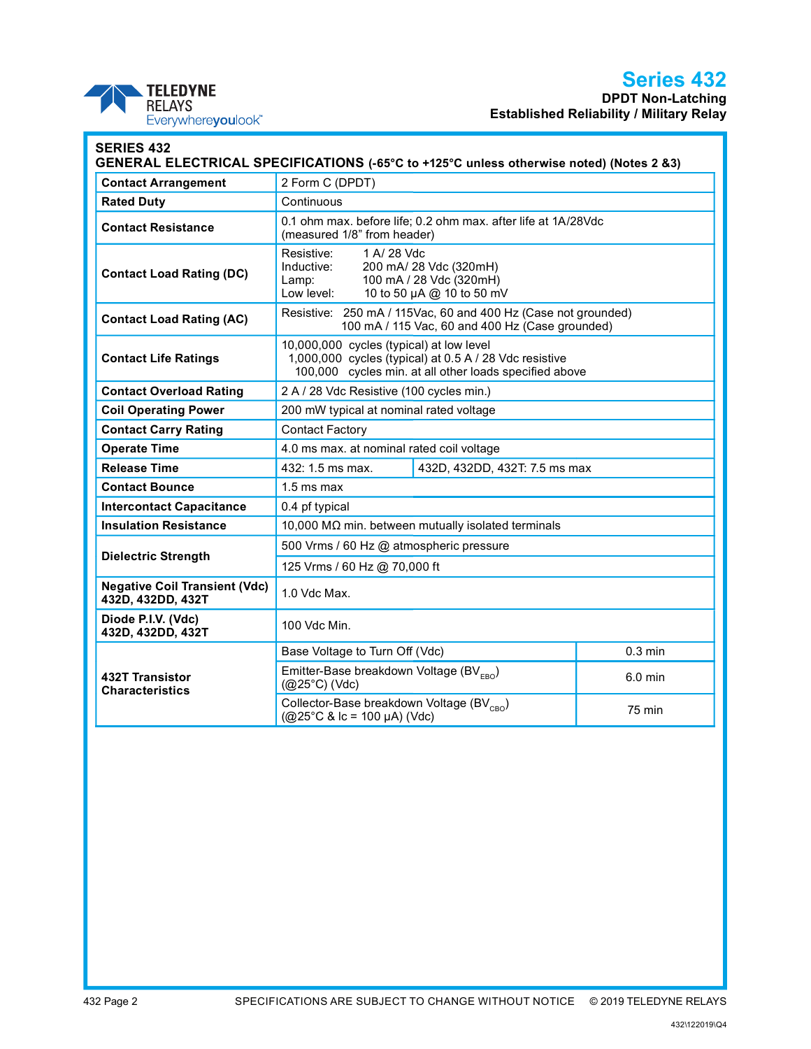## Series 432

DPDT Non-Latching Established Reliability / Military Relay

| <b>TELEDYNE</b>    |
|--------------------|
| <b>RELAYS</b>      |
| Everywhereyoulook" |

| <b>Contact Arrangement</b>                                | 2 Form C (DPDT)                                                                                                                                              |  |                   |  |
|-----------------------------------------------------------|--------------------------------------------------------------------------------------------------------------------------------------------------------------|--|-------------------|--|
| <b>Rated Duty</b>                                         | Continuous                                                                                                                                                   |  |                   |  |
| Contact Resistance                                        | 0.1 ohm max. before life; 0.2 ohm max. after life at 1A/28Vdc<br>(measured 1/8" from header)                                                                 |  |                   |  |
| <b>Contact Load Rating (DC)</b>                           | Resistive:<br>1 A/ 28 Vdc<br>Inductive:<br>200 mA/ 28 Vdc (320mH)<br>100 mA / 28 Vdc (320mH)<br>Lamp:<br>Low level:<br>10 to 50 µA @ 10 to 50 mV             |  |                   |  |
| <b>Contact Load Rating (AC)</b>                           | Resistive: 250 mA / 115Vac, 60 and 400 Hz (Case not grounded)<br>100 mA / 115 Vac, 60 and 400 Hz (Case grounded)                                             |  |                   |  |
| <b>Contact Life Ratings</b>                               | 10,000,000 cycles (typical) at low level<br>1,000,000 cycles (typical) at 0.5 A / 28 Vdc resistive<br>100,000 cycles min. at all other loads specified above |  |                   |  |
| <b>Contact Overload Rating</b>                            | 2 A / 28 Vdc Resistive (100 cycles min.)                                                                                                                     |  |                   |  |
| <b>Coil Operating Power</b>                               | 200 mW typical at nominal rated voltage                                                                                                                      |  |                   |  |
| <b>Contact Carry Rating</b>                               | <b>Contact Factory</b>                                                                                                                                       |  |                   |  |
| <b>Operate Time</b>                                       | 4.0 ms max. at nominal rated coil voltage                                                                                                                    |  |                   |  |
| <b>Release Time</b>                                       | 432: 1.5 ms max.<br>432D, 432DD, 432T: 7.5 ms max                                                                                                            |  |                   |  |
| <b>Contact Bounce</b>                                     | $1.5$ ms max                                                                                                                                                 |  |                   |  |
| <b>Intercontact Capacitance</b>                           | 0.4 pf typical                                                                                                                                               |  |                   |  |
| <b>Insulation Resistance</b>                              | 10,000 M $\Omega$ min. between mutually isolated terminals                                                                                                   |  |                   |  |
|                                                           | 500 Vrms / 60 Hz @ atmospheric pressure                                                                                                                      |  |                   |  |
| <b>Dielectric Strength</b>                                | 125 Vrms / 60 Hz @ 70,000 ft                                                                                                                                 |  |                   |  |
| <b>Negative Coil Transient (Vdc)</b><br>432D, 432DD, 432T | 1.0 Vdc Max.                                                                                                                                                 |  |                   |  |
| Diode P.I.V. (Vdc)<br>432D, 432DD, 432T                   | 100 Vdc Min.                                                                                                                                                 |  |                   |  |
|                                                           | Base Voltage to Turn Off (Vdc)                                                                                                                               |  | $0.3 \text{ min}$ |  |
| 432T Transistor<br><b>Characteristics</b>                 | Emitter-Base breakdown Voltage (BV <sub>ERO</sub> )<br>$6.0$ min<br>$(Q25^{\circ}C)$ (Vdc)                                                                   |  |                   |  |
|                                                           | Collector-Base breakdown Voltage (BV <sub>CBO</sub> )<br><b>75 min</b><br>$(Q25^{\circ}C \& c = 100 \mu A)(Vdc)$                                             |  |                   |  |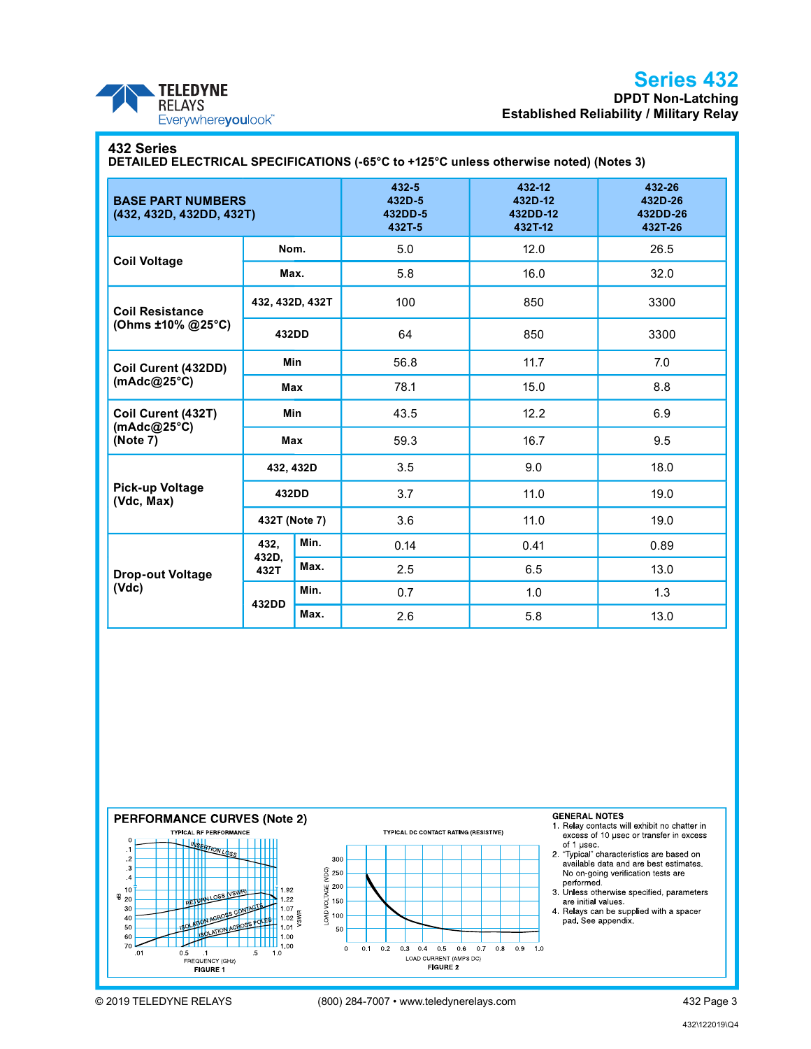

### Series 432 DPDT Non-Latching Established Reliability / Military Relay

### 432 Series

DETAILED ELECTRICAL SPECIFICATIONS (-65°C to +125°C unless otherwise noted) (Notes 3)

| <b>BASE PART NUMBERS</b><br>(432, 432D, 432DD, 432T) |                 | 432-5<br>432D-5<br>432DD-5<br>432T-5 | 432-12<br>432D-12<br>432DD-12<br>432T-12 | 432-26<br>432D-26<br>432DD-26<br>432T-26 |      |
|------------------------------------------------------|-----------------|--------------------------------------|------------------------------------------|------------------------------------------|------|
|                                                      | Nom.            |                                      | 5.0                                      | 12.0                                     | 26.5 |
| <b>Coil Voltage</b>                                  |                 | Max.                                 | 5.8                                      | 16.0                                     | 32.0 |
| <b>Coil Resistance</b>                               | 432, 432D, 432T |                                      | 100                                      | 850                                      | 3300 |
| (Ohms ±10% @25°C)                                    | 432DD           |                                      | 64                                       | 850                                      | 3300 |
| Coil Curent (432DD)<br>(mAdc@25°C)                   | Min             |                                      | 56.8                                     | 11.7                                     | 7.0  |
|                                                      |                 | Max                                  | 78.1                                     | 15.0                                     | 8.8  |
| Coil Curent (432T)<br>(mAdc@25°C)<br>(Note 7)        | Min             |                                      | 43.5                                     | 12.2                                     | 6.9  |
|                                                      |                 | Max                                  | 59.3                                     | 16.7                                     | 9.5  |
| Pick-up Voltage<br>(Vdc, Max)                        |                 | 432, 432D                            | 3.5                                      | 9.0                                      | 18.0 |
|                                                      | 432DD           |                                      | 3.7                                      | 11.0                                     | 19.0 |
|                                                      | 432T (Note 7)   |                                      | 3.6                                      | 11.0                                     | 19.0 |
| <b>Drop-out Voltage</b><br>(Vdc)                     | 432,            | Min.                                 | 0.14                                     | 0.41                                     | 0.89 |
|                                                      | 432D,<br>432T   | Max.                                 | 2.5                                      | 6.5                                      | 13.0 |
|                                                      | 432DD           | Min.                                 | 0.7                                      | 1.0                                      | 1.3  |
|                                                      |                 | Max.                                 | 2.6                                      | 5.8                                      | 13.0 |

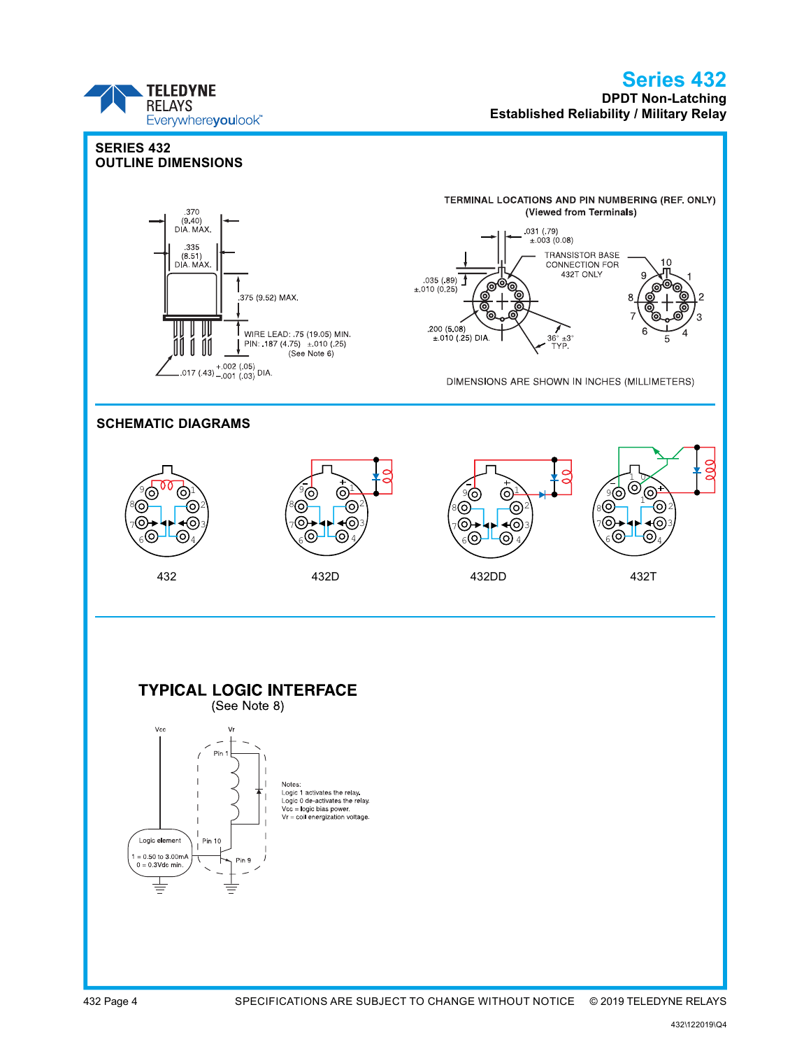### **TELEDYNE RELAYS** Everywhereyoulook<sup>\*\*</sup>

### Series 432 DPDT Non-Latching Established Reliability / Military Relay

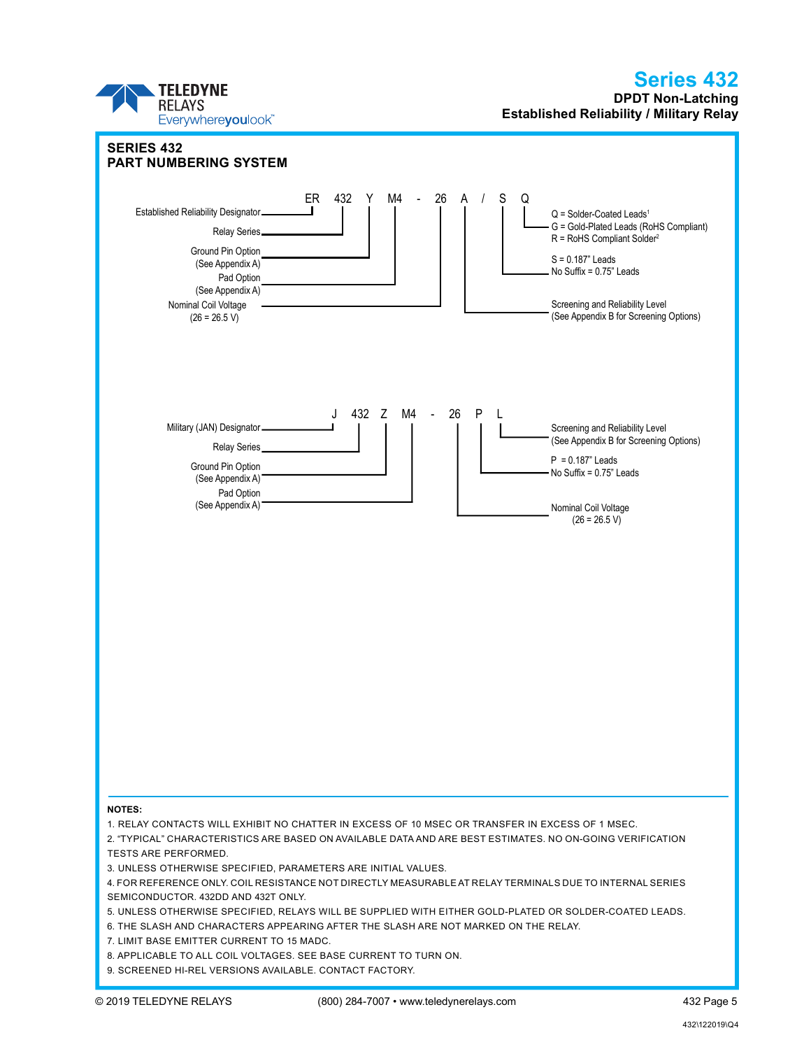## Series 432

DPDT Non-Latching Established Reliability / Military Relay

### © 2019 TELEDYNE RELAYS (800) 284-7007 • www.teledynerelays.com 432 Page 5 NOTES: 1. RELAY CONTACTS WILL EXHIBIT NO CHATTER IN EXCESS OF 10 ΜSEC OR TRANSFER IN EXCESS OF 1 ΜSEC. 2. "TYPICAL" CHARACTERISTICS ARE BASED ON AVAILABLE DATA AND ARE BEST ESTIMATES. NO ON-GOING VERIFICATION TESTS ARE PERFORMED. 3. UNLESS OTHERWISE SPECIFIED, PARAMETERS ARE INITIAL VALUES. 4. FOR REFERENCE ONLY. COIL RESISTANCE NOT DIRECTLY MEASURABLE AT RELAY TERMINALS DUE TO INTERNAL SERIES SEMICONDUCTOR. 432DD AND 432T ONLY. 5. UNLESS OTHERWISE SPECIFIED, RELAYS WILL BE SUPPLIED WITH EITHER GOLD-PLATED OR SOLDER-COATED LEADS. 6. THE SLASH AND CHARACTERS APPEARING AFTER THE SLASH ARE NOT MARKED ON THE RELAY. 7. LIMIT BASE EMITTER CURRENT TO 15 MADC. 8. APPLICABLE TO ALL COIL VOLTAGES. SEE BASE CURRENT TO TURN ON. 9. SCREENED HI-REL VERSIONS AVAILABLE. CONTACT FACTORY. SERIES 432 PART NUMBERING SYSTEM ER 432 Y M4 - 26 A / S Q Established Reliability Designator Relay Series Ground Pin Option (See Appendix A) Pad Option (See Appendix A)  $Q =$  Solder-Coated Leads<sup>1</sup> G = Gold-Plated Leads (RoHS Compliant) R = RoHS Compliant Solder<sup>2</sup> S = 0.187" Leads No Suffix  $= 0.75$ " Leads Screening and Reliability Level (See Appendix B for Screening Options) Nominal Coil Voltage  $(26 = 26.5 V)$ J 432 Z M4 - 26 P L Military (JAN) Designator Relay Series Ground Pin Option (See Appendix A) Pad Option (See Appendix A)  $P = 0.187$ " Leads No Suffix  $= 0.75$ " Leads Screening and Reliability Level (See Appendix B for Screening Options) Nominal Coil Voltage  $(26 = 26.5 V)$

**TELEDYNE RELAYS** 

Everywhereyoulook<sup>\*</sup>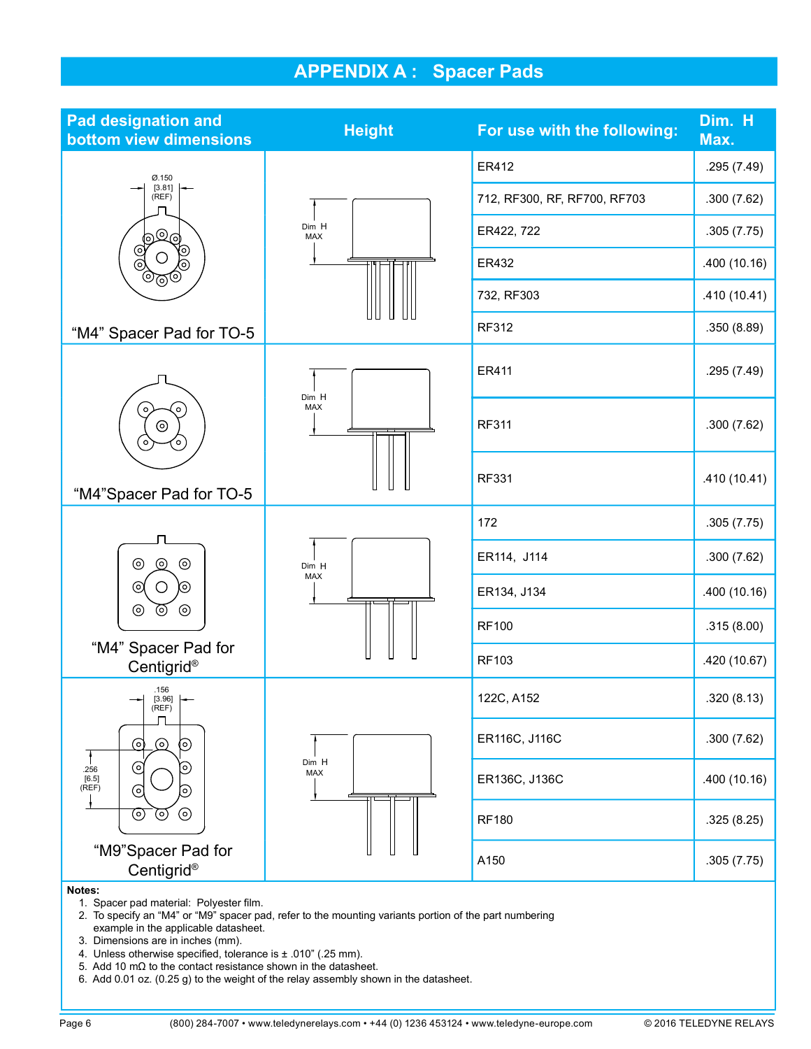# APPENDIX A : Spacer Pads

| <b>Pad designation and</b><br>bottom view dimensions     | <b>Height</b>       | For use with the following:  | Dim. H<br>Max. |
|----------------------------------------------------------|---------------------|------------------------------|----------------|
| Ø.150                                                    |                     | ER412                        | .295 (7.49)    |
| [3.81]<br>(REF)                                          |                     | 712, RF300, RF, RF700, RF703 | .300(7.62)     |
| ්මල                                                      | Dim H<br><b>MAX</b> | ER422, 722                   | .305(7.75)     |
| <u>ତ</u><br>ତ<br>(o)<br>$\circledcirc$                   |                     | ER432                        | .400 (10.16)   |
| $\sqrt{\mathbb{Q}}$                                      |                     | 732, RF303                   | .410 (10.41)   |
| "M4" Spacer Pad for TO-5                                 |                     | RF312                        | .350 (8.89)    |
|                                                          | Dim H               | ER411                        | .295 (7.49)    |
| ່<br>$\circ$<br>$\odot$<br>$\circ$<br>O,                 | MAX                 | <b>RF311</b>                 | .300(7.62)     |
| "M4"Spacer Pad for TO-5                                  |                     | <b>RF331</b>                 | .410(10.41)    |
|                                                          | Dim H<br>MAX        | 172                          | .305(7.75)     |
| $_{\odot}$<br>$\circledcirc$<br>ര<br>$\odot$<br>Ő<br>(၀) |                     | ER114, J114                  | .300(7.62)     |
|                                                          |                     | ER134, J134                  | .400 (10.16)   |
| $\odot$<br>⊚<br>$\circledcirc$                           |                     | <b>RF100</b>                 | .315 (8.00)    |
| "M4" Spacer Pad for<br>Centigrid®                        |                     | RF103                        | .420 (10.67)   |
| .156<br>$\rightarrow$ [3.96] $\rightarrow$<br>(REF)      |                     | 122C, A152                   | .320(8.13)     |
| ⊚<br>$\odot$<br>0)                                       |                     | ER116C, J116C                | .300(7.62)     |
| $_{\odot}$<br>O<br>.256<br>[6.5]<br>(REF)<br>⊚<br>O)     | Dim H<br>MAX        | ER136C, J136C                | .400(10.16)    |
| $\odot$<br>⊚<br>⊚                                        |                     | <b>RF180</b>                 | .325(8.25)     |
| "M9"Spacer Pad for<br>Centigrid®                         |                     | A150                         | .305(7.75)     |
| Notes:                                                   |                     |                              |                |

1. Spacer pad material: Polyester film.

 2. To specify an "M4" or "M9" spacer pad, refer to the mounting variants portion of the part numbering example in the applicable datasheet.

3. Dimensions are in inches (mm).

4. Unless otherwise specified, tolerance is  $\pm$  .010" (.25 mm).

5. Add 10 mΩ to the contact resistance shown in the datasheet.

6. Add 0.01 oz. (0.25 g) to the weight of the relay assembly shown in the datasheet.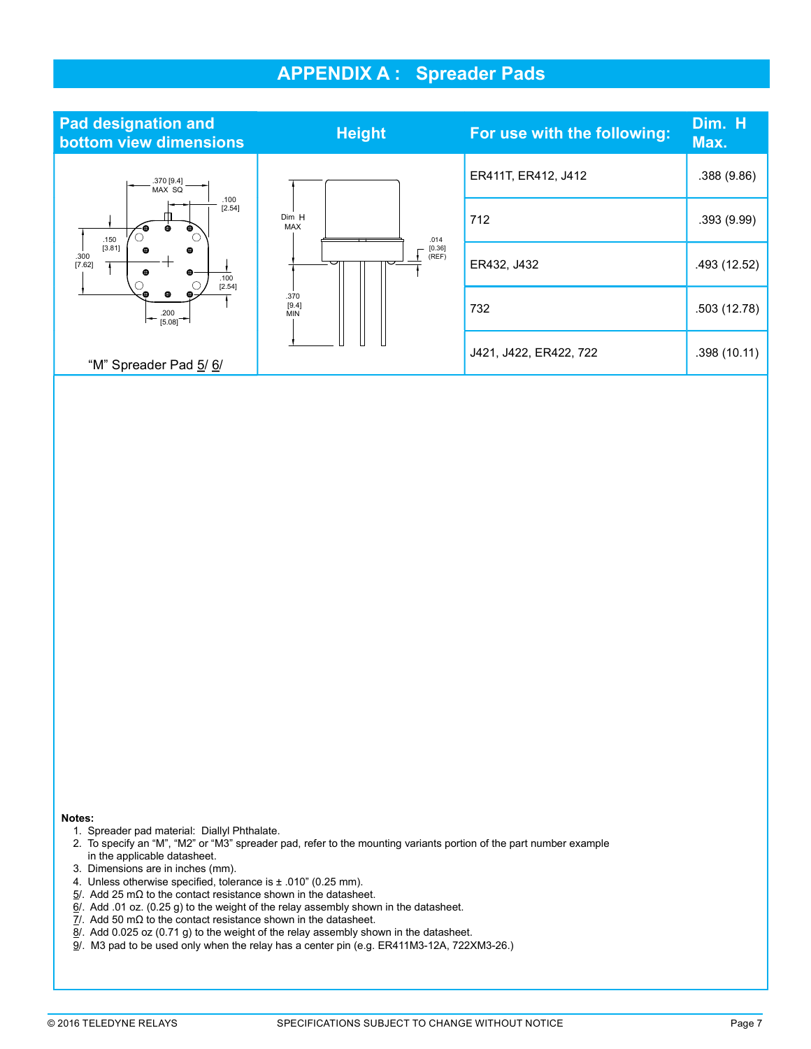## APPENDIX A : Spreader Pads



#### Notes:

- 1. Spreader pad material: Diallyl Phthalate.
- 2. To specify an "M", "M2" or "M3" spreader pad, refer to the mounting variants portion of the part number example in the applicable datasheet.
- 3. Dimensions are in inches (mm).
- 4. Unless otherwise specified, tolerance is  $\pm$  .010" (0.25 mm).
- $5/$ . Add 25 mΩ to the contact resistance shown in the datasheet.
- 6/. Add .01 oz. (0.25 g) to the weight of the relay assembly shown in the datasheet.
- 7/. Add 50 mΩ to the contact resistance shown in the datasheet.
- 8/. Add 0.025 oz (0.71 g) to the weight of the relay assembly shown in the datasheet.
- 9/. M3 pad to be used only when the relay has a center pin (e.g. ER411M3-12A, 722XM3-26.)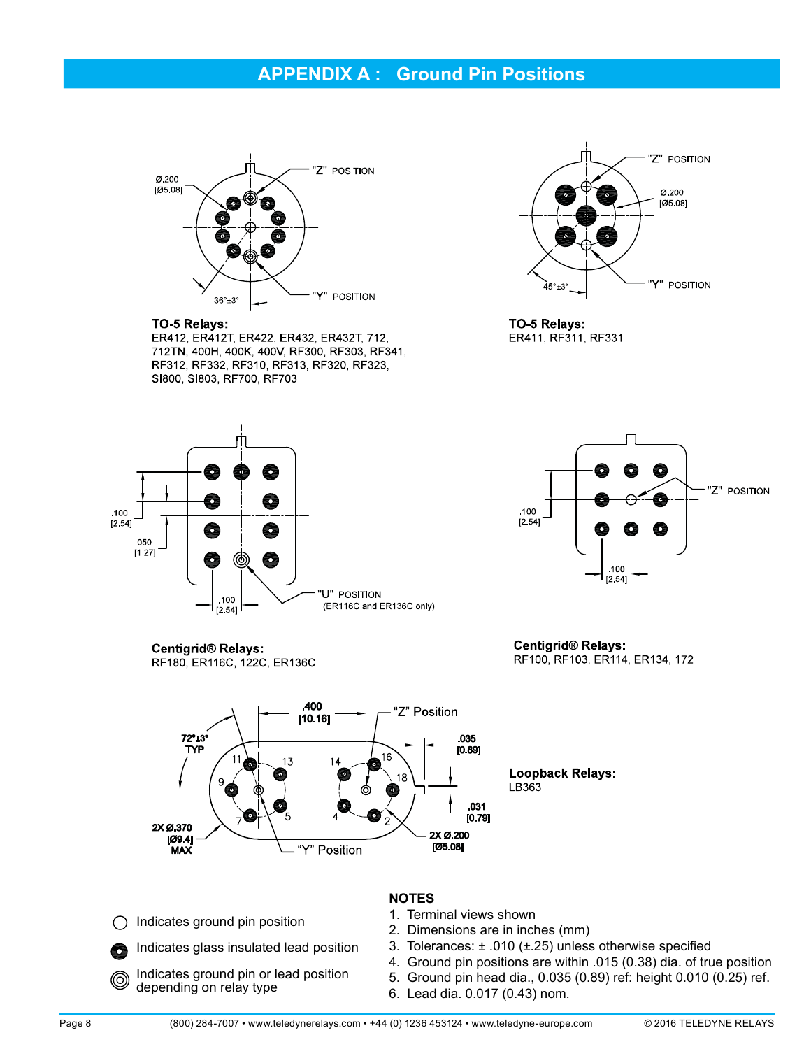### APPENDIX A : Ground Pin Positions



#### TO-5 Relays:

ER412, ER412T, ER422, ER432, ER432T, 712, 712TN, 400H, 400K, 400V, RF300, RF303, RF341, RF312, RF332, RF310, RF313, RF320, RF323, SI800, SI803, RF700, RF703



TO-5 Relays: ER411, RF311, RF331





RF180, ER116C, 122C, ER136C



Centigrid® Relays: RF100, RF103, ER114, ER134, 172



**Loopback Relays:** 

- Indicates ground pin position  $\left(\begin{array}{c} \end{array}\right)$
- Indicates glass insulated lead position 6
- Indicates ground pin or lead position ◎ depending on relay type

#### NOTES

- 1. Terminal views shown
- 2. Dimensions are in inches (mm)
- 3. Tolerances:  $\pm$  .010 ( $\pm$ .25) unless otherwise specified
- 4. Ground pin positions are within .015 (0.38) dia. of true position
- 5. Ground pin head dia., 0.035 (0.89) ref: height 0.010 (0.25) ref.
- 6. Lead dia. 0.017 (0.43) nom.